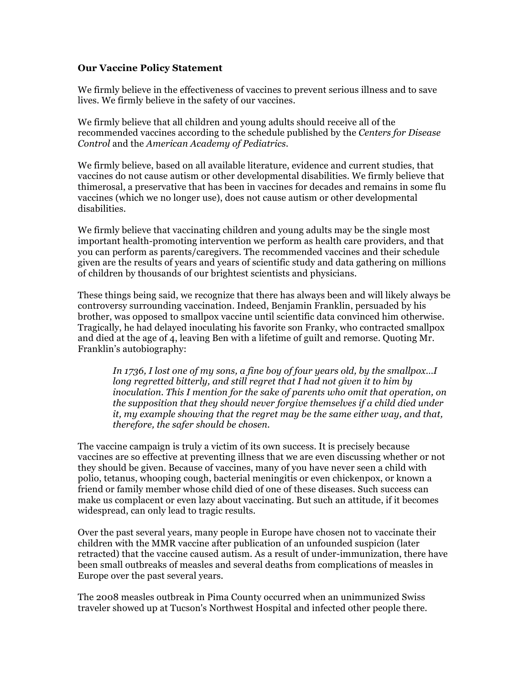## **Our Vaccine Policy Statement**

We firmly believe in the effectiveness of vaccines to prevent serious illness and to save lives. We firmly believe in the safety of our vaccines.

We firmly believe that all children and young adults should receive all of the recommended vaccines according to the schedule published by the *Centers for Disease Control* and the *American Academy of Pediatrics*.

We firmly believe, based on all available literature, evidence and current studies, that vaccines do not cause autism or other developmental disabilities. We firmly believe that thimerosal, a preservative that has been in vaccines for decades and remains in some flu vaccines (which we no longer use), does not cause autism or other developmental disabilities.

We firmly believe that vaccinating children and young adults may be the single most important health-promoting intervention we perform as health care providers, and that you can perform as parents/caregivers. The recommended vaccines and their schedule given are the results of years and years of scientific study and data gathering on millions of children by thousands of our brightest scientists and physicians.

These things being said, we recognize that there has always been and will likely always be controversy surrounding vaccination. Indeed, Benjamin Franklin, persuaded by his brother, was opposed to smallpox vaccine until scientific data convinced him otherwise. Tragically, he had delayed inoculating his favorite son Franky, who contracted smallpox and died at the age of 4, leaving Ben with a lifetime of guilt and remorse. Quoting Mr. Franklin's autobiography:

*In 1736, I lost one of my sons, a fine boy of four years old, by the smallpox…I long regretted bitterly, and still regret that I had not given it to him by inoculation. This I mention for the sake of parents who omit that operation, on the supposition that they should never forgive themselves if a child died under it, my example showing that the regret may be the same either way, and that, therefore, the safer should be chosen.* 

The vaccine campaign is truly a victim of its own success. It is precisely because vaccines are so effective at preventing illness that we are even discussing whether or not they should be given. Because of vaccines, many of you have never seen a child with polio, tetanus, whooping cough, bacterial meningitis or even chickenpox, or known a friend or family member whose child died of one of these diseases. Such success can make us complacent or even lazy about vaccinating. But such an attitude, if it becomes widespread, can only lead to tragic results.

Over the past several years, many people in Europe have chosen not to vaccinate their children with the MMR vaccine after publication of an unfounded suspicion (later retracted) that the vaccine caused autism. As a result of under-immunization, there have been small outbreaks of measles and several deaths from complications of measles in Europe over the past several years.

The 2008 measles outbreak in Pima County occurred when an unimmunized Swiss traveler showed up at Tucson's Northwest Hospital and infected other people there.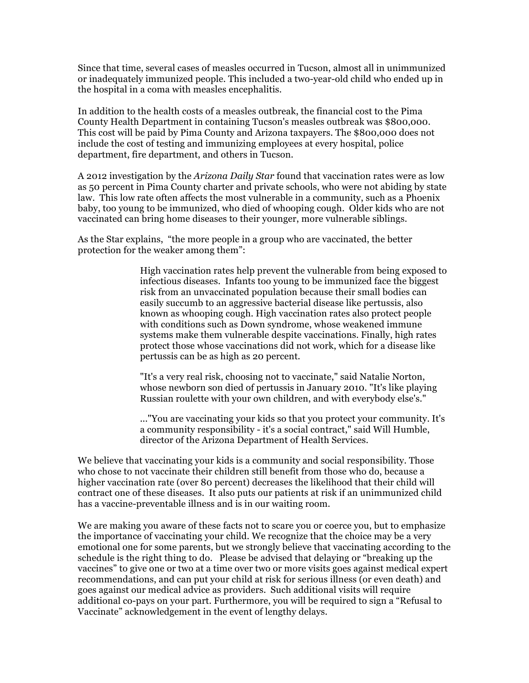Since that time, several cases of measles occurred in Tucson, almost all in unimmunized or inadequately immunized people. This included a two-year-old child who ended up in the hospital in a coma with measles encephalitis.

In addition to the health costs of a measles outbreak, the financial cost to the Pima County Health Department in containing Tucson's measles outbreak was \$800,000. This cost will be paid by Pima County and Arizona taxpayers. The \$800,000 does not include the cost of testing and immunizing employees at every hospital, police department, fire department, and others in Tucson.

A 2012 investigation by the *Arizona Daily Star* found that vaccination rates were as low as 50 percent in Pima County charter and private schools, who were not abiding by state law. This low rate often affects the most vulnerable in a community, such as a Phoenix baby, too young to be immunized, who died of whooping cough. Older kids who are not vaccinated can bring home diseases to their younger, more vulnerable siblings.

As the Star explains, "the more people in a group who are vaccinated, the better protection for the weaker among them":

> High vaccination rates help prevent the vulnerable from being exposed to infectious diseases. Infants too young to be immunized face the biggest risk from an unvaccinated population because their small bodies can easily succumb to an aggressive bacterial disease like pertussis, also known as whooping cough. High vaccination rates also protect people with conditions such as Down syndrome, whose weakened immune systems make them vulnerable despite vaccinations. Finally, high rates protect those whose vaccinations did not work, which for a disease like pertussis can be as high as 20 percent.

"It's a very real risk, choosing not to vaccinate," said Natalie Norton, whose newborn son died of pertussis in January 2010. "It's like playing Russian roulette with your own children, and with everybody else's."

..."You are vaccinating your kids so that you protect your community. It's a community responsibility - it's a social contract," said Will Humble, director of the Arizona Department of Health Services.

We believe that vaccinating your kids is a community and social responsibility. Those who chose to not vaccinate their children still benefit from those who do, because a higher vaccination rate (over 80 percent) decreases the likelihood that their child will contract one of these diseases. It also puts our patients at risk if an unimmunized child has a vaccine-preventable illness and is in our waiting room.

We are making you aware of these facts not to scare you or coerce you, but to emphasize the importance of vaccinating your child. We recognize that the choice may be a very emotional one for some parents, but we strongly believe that vaccinating according to the schedule is the right thing to do. Please be advised that delaying or "breaking up the vaccines" to give one or two at a time over two or more visits goes against medical expert recommendations, and can put your child at risk for serious illness (or even death) and goes against our medical advice as providers. Such additional visits will require additional co-pays on your part. Furthermore, you will be required to sign a "Refusal to Vaccinate" acknowledgement in the event of lengthy delays.